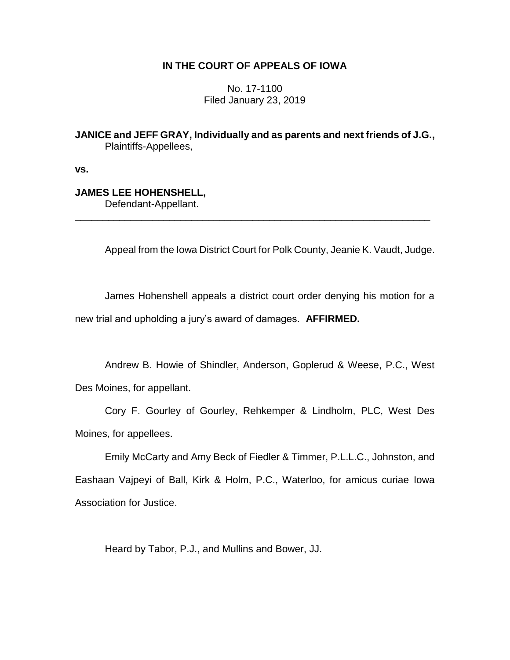# **IN THE COURT OF APPEALS OF IOWA**

No. 17-1100 Filed January 23, 2019

**JANICE and JEFF GRAY, Individually and as parents and next friends of J.G.,** Plaintiffs-Appellees,

\_\_\_\_\_\_\_\_\_\_\_\_\_\_\_\_\_\_\_\_\_\_\_\_\_\_\_\_\_\_\_\_\_\_\_\_\_\_\_\_\_\_\_\_\_\_\_\_\_\_\_\_\_\_\_\_\_\_\_\_\_\_\_\_

**vs.**

# **JAMES LEE HOHENSHELL,**

Defendant-Appellant.

Appeal from the Iowa District Court for Polk County, Jeanie K. Vaudt, Judge.

James Hohenshell appeals a district court order denying his motion for a new trial and upholding a jury's award of damages. **AFFIRMED.**

Andrew B. Howie of Shindler, Anderson, Goplerud & Weese, P.C., West Des Moines, for appellant.

Cory F. Gourley of Gourley, Rehkemper & Lindholm, PLC, West Des Moines, for appellees.

Emily McCarty and Amy Beck of Fiedler & Timmer, P.L.L.C., Johnston, and Eashaan Vajpeyi of Ball, Kirk & Holm, P.C., Waterloo, for amicus curiae Iowa Association for Justice.

Heard by Tabor, P.J., and Mullins and Bower, JJ.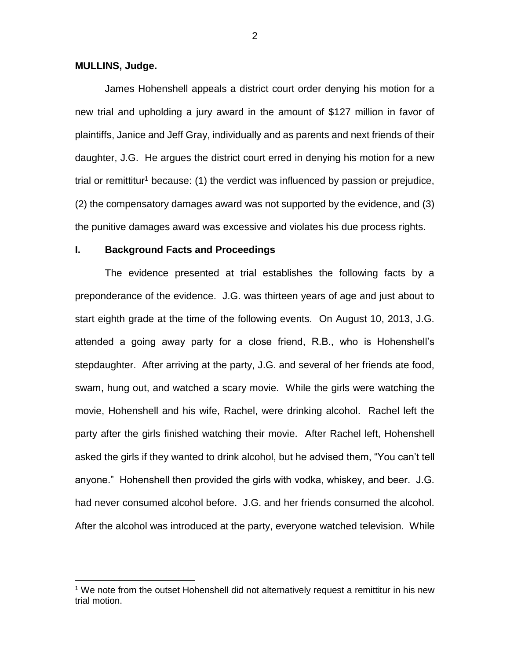#### **MULLINS, Judge.**

 $\overline{a}$ 

James Hohenshell appeals a district court order denying his motion for a new trial and upholding a jury award in the amount of \$127 million in favor of plaintiffs, Janice and Jeff Gray, individually and as parents and next friends of their daughter, J.G. He argues the district court erred in denying his motion for a new trial or remittitur<sup>1</sup> because: (1) the verdict was influenced by passion or prejudice, (2) the compensatory damages award was not supported by the evidence, and (3) the punitive damages award was excessive and violates his due process rights.

# **I. Background Facts and Proceedings**

The evidence presented at trial establishes the following facts by a preponderance of the evidence. J.G. was thirteen years of age and just about to start eighth grade at the time of the following events. On August 10, 2013, J.G. attended a going away party for a close friend, R.B., who is Hohenshell's stepdaughter. After arriving at the party, J.G. and several of her friends ate food, swam, hung out, and watched a scary movie. While the girls were watching the movie, Hohenshell and his wife, Rachel, were drinking alcohol. Rachel left the party after the girls finished watching their movie. After Rachel left, Hohenshell asked the girls if they wanted to drink alcohol, but he advised them, "You can't tell anyone." Hohenshell then provided the girls with vodka, whiskey, and beer. J.G. had never consumed alcohol before. J.G. and her friends consumed the alcohol. After the alcohol was introduced at the party, everyone watched television. While

<sup>1</sup> We note from the outset Hohenshell did not alternatively request a remittitur in his new trial motion.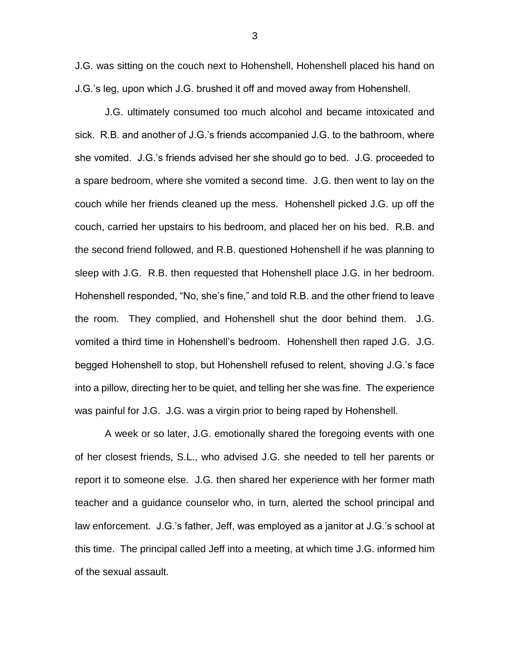J.G. was sitting on the couch next to Hohenshell, Hohenshell placed his hand on J.G.'s leg, upon which J.G. brushed it off and moved away from Hohenshell.

J.G. ultimately consumed too much alcohol and became intoxicated and sick. R.B. and another of J.G.'s friends accompanied J.G. to the bathroom, where she vomited. J.G.'s friends advised her she should go to bed. J.G. proceeded to a spare bedroom, where she vomited a second time. J.G. then went to lay on the couch while her friends cleaned up the mess. Hohenshell picked J.G. up off the couch, carried her upstairs to his bedroom, and placed her on his bed. R.B. and the second friend followed, and R.B. questioned Hohenshell if he was planning to sleep with J.G. R.B. then requested that Hohenshell place J.G. in her bedroom. Hohenshell responded, "No, she's fine," and told R.B. and the other friend to leave the room. They complied, and Hohenshell shut the door behind them. J.G. vomited a third time in Hohenshell's bedroom. Hohenshell then raped J.G. J.G. begged Hohenshell to stop, but Hohenshell refused to relent, shoving J.G.'s face into a pillow, directing her to be quiet, and telling her she was fine. The experience was painful for J.G. J.G. was a virgin prior to being raped by Hohenshell.

A week or so later, J.G. emotionally shared the foregoing events with one of her closest friends, S.L., who advised J.G. she needed to tell her parents or report it to someone else. J.G. then shared her experience with her former math teacher and a guidance counselor who, in turn, alerted the school principal and law enforcement. J.G.'s father, Jeff, was employed as a janitor at J.G.'s school at this time. The principal called Jeff into a meeting, at which time J.G. informed him of the sexual assault.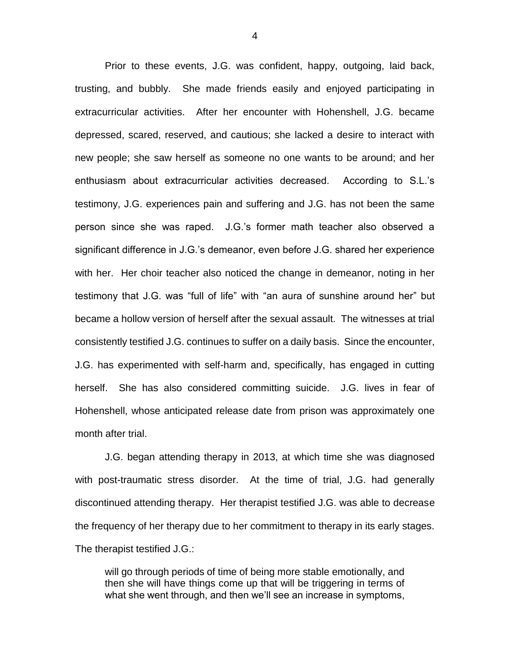Prior to these events, J.G. was confident, happy, outgoing, laid back, trusting, and bubbly. She made friends easily and enjoyed participating in extracurricular activities. After her encounter with Hohenshell, J.G. became depressed, scared, reserved, and cautious; she lacked a desire to interact with new people; she saw herself as someone no one wants to be around; and her enthusiasm about extracurricular activities decreased. According to S.L.'s testimony, J.G. experiences pain and suffering and J.G. has not been the same person since she was raped. J.G.'s former math teacher also observed a significant difference in J.G.'s demeanor, even before J.G. shared her experience with her. Her choir teacher also noticed the change in demeanor, noting in her testimony that J.G. was "full of life" with "an aura of sunshine around her" but became a hollow version of herself after the sexual assault. The witnesses at trial consistently testified J.G. continues to suffer on a daily basis. Since the encounter, J.G. has experimented with self-harm and, specifically, has engaged in cutting herself. She has also considered committing suicide. J.G. lives in fear of Hohenshell, whose anticipated release date from prison was approximately one month after trial.

J.G. began attending therapy in 2013, at which time she was diagnosed with post-traumatic stress disorder. At the time of trial, J.G. had generally discontinued attending therapy. Her therapist testified J.G. was able to decrease the frequency of her therapy due to her commitment to therapy in its early stages. The therapist testified J.G.:

will go through periods of time of being more stable emotionally, and then she will have things come up that will be triggering in terms of what she went through, and then we'll see an increase in symptoms,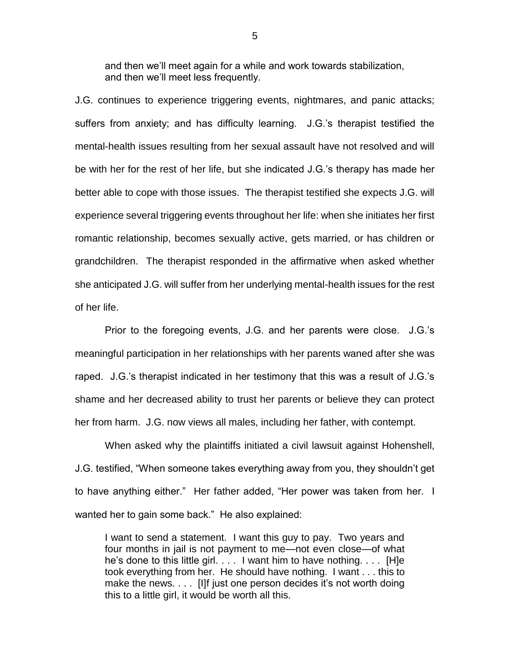and then we'll meet again for a while and work towards stabilization, and then we'll meet less frequently.

J.G. continues to experience triggering events, nightmares, and panic attacks; suffers from anxiety; and has difficulty learning. J.G.'s therapist testified the mental-health issues resulting from her sexual assault have not resolved and will be with her for the rest of her life, but she indicated J.G.'s therapy has made her better able to cope with those issues. The therapist testified she expects J.G. will experience several triggering events throughout her life: when she initiates her first romantic relationship, becomes sexually active, gets married, or has children or grandchildren. The therapist responded in the affirmative when asked whether she anticipated J.G. will suffer from her underlying mental-health issues for the rest of her life.

Prior to the foregoing events, J.G. and her parents were close. J.G.'s meaningful participation in her relationships with her parents waned after she was raped. J.G.'s therapist indicated in her testimony that this was a result of J.G.'s shame and her decreased ability to trust her parents or believe they can protect her from harm. J.G. now views all males, including her father, with contempt.

When asked why the plaintiffs initiated a civil lawsuit against Hohenshell, J.G. testified, "When someone takes everything away from you, they shouldn't get to have anything either." Her father added, "Her power was taken from her. I wanted her to gain some back." He also explained:

I want to send a statement. I want this guy to pay. Two years and four months in jail is not payment to me—not even close—of what he's done to this little girl. . . . I want him to have nothing. . . . [H]e took everything from her. He should have nothing. I want . . . this to make the news. . . . [I]f just one person decides it's not worth doing this to a little girl, it would be worth all this.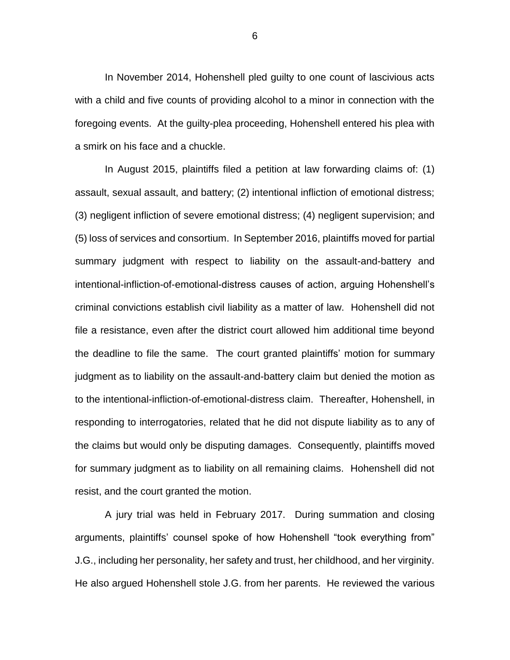In November 2014, Hohenshell pled guilty to one count of lascivious acts with a child and five counts of providing alcohol to a minor in connection with the foregoing events. At the guilty-plea proceeding, Hohenshell entered his plea with a smirk on his face and a chuckle.

In August 2015, plaintiffs filed a petition at law forwarding claims of: (1) assault, sexual assault, and battery; (2) intentional infliction of emotional distress; (3) negligent infliction of severe emotional distress; (4) negligent supervision; and (5) loss of services and consortium. In September 2016, plaintiffs moved for partial summary judgment with respect to liability on the assault-and-battery and intentional-infliction-of-emotional-distress causes of action, arguing Hohenshell's criminal convictions establish civil liability as a matter of law. Hohenshell did not file a resistance, even after the district court allowed him additional time beyond the deadline to file the same. The court granted plaintiffs' motion for summary judgment as to liability on the assault-and-battery claim but denied the motion as to the intentional-infliction-of-emotional-distress claim. Thereafter, Hohenshell, in responding to interrogatories, related that he did not dispute liability as to any of the claims but would only be disputing damages. Consequently, plaintiffs moved for summary judgment as to liability on all remaining claims. Hohenshell did not resist, and the court granted the motion.

A jury trial was held in February 2017. During summation and closing arguments, plaintiffs' counsel spoke of how Hohenshell "took everything from" J.G., including her personality, her safety and trust, her childhood, and her virginity. He also argued Hohenshell stole J.G. from her parents. He reviewed the various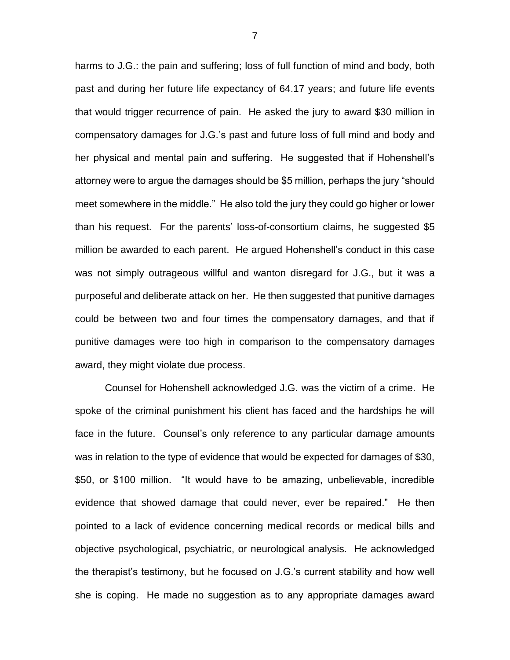harms to J.G.: the pain and suffering; loss of full function of mind and body, both past and during her future life expectancy of 64.17 years; and future life events that would trigger recurrence of pain. He asked the jury to award \$30 million in compensatory damages for J.G.'s past and future loss of full mind and body and her physical and mental pain and suffering. He suggested that if Hohenshell's attorney were to argue the damages should be \$5 million, perhaps the jury "should meet somewhere in the middle." He also told the jury they could go higher or lower than his request. For the parents' loss-of-consortium claims, he suggested \$5 million be awarded to each parent. He argued Hohenshell's conduct in this case was not simply outrageous willful and wanton disregard for J.G., but it was a purposeful and deliberate attack on her. He then suggested that punitive damages could be between two and four times the compensatory damages, and that if punitive damages were too high in comparison to the compensatory damages award, they might violate due process.

Counsel for Hohenshell acknowledged J.G. was the victim of a crime. He spoke of the criminal punishment his client has faced and the hardships he will face in the future. Counsel's only reference to any particular damage amounts was in relation to the type of evidence that would be expected for damages of \$30, \$50, or \$100 million. "It would have to be amazing, unbelievable, incredible evidence that showed damage that could never, ever be repaired." He then pointed to a lack of evidence concerning medical records or medical bills and objective psychological, psychiatric, or neurological analysis. He acknowledged the therapist's testimony, but he focused on J.G.'s current stability and how well she is coping. He made no suggestion as to any appropriate damages award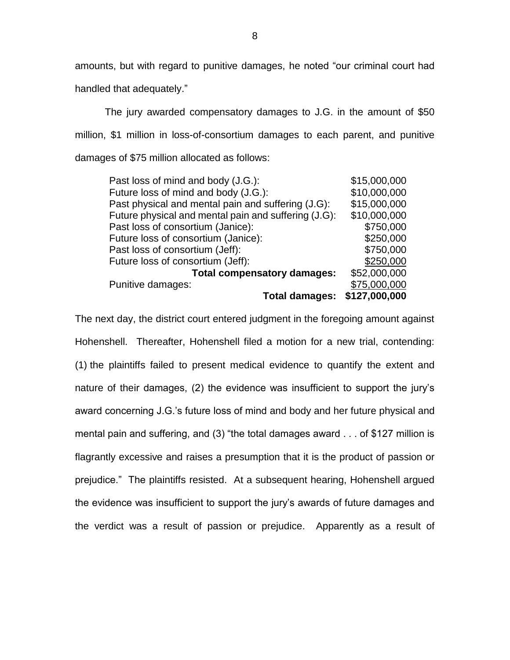amounts, but with regard to punitive damages, he noted "our criminal court had handled that adequately."

The jury awarded compensatory damages to J.G. in the amount of \$50 million, \$1 million in loss-of-consortium damages to each parent, and punitive damages of \$75 million allocated as follows:

| Past loss of mind and body (J.G.):                   | \$15,000,000  |
|------------------------------------------------------|---------------|
| Future loss of mind and body (J.G.):                 | \$10,000,000  |
| Past physical and mental pain and suffering (J.G):   | \$15,000,000  |
| Future physical and mental pain and suffering (J.G): | \$10,000,000  |
| Past loss of consortium (Janice):                    | \$750,000     |
| Future loss of consortium (Janice):                  | \$250,000     |
| Past loss of consortium (Jeff):                      | \$750,000     |
| Future loss of consortium (Jeff):                    | \$250,000     |
| <b>Total compensatory damages:</b>                   | \$52,000,000  |
| Punitive damages:                                    | \$75,000,000  |
| <b>Total damages:</b>                                | \$127,000,000 |

The next day, the district court entered judgment in the foregoing amount against Hohenshell. Thereafter, Hohenshell filed a motion for a new trial, contending: (1) the plaintiffs failed to present medical evidence to quantify the extent and nature of their damages, (2) the evidence was insufficient to support the jury's award concerning J.G.'s future loss of mind and body and her future physical and mental pain and suffering, and (3) "the total damages award . . . of \$127 million is flagrantly excessive and raises a presumption that it is the product of passion or prejudice." The plaintiffs resisted. At a subsequent hearing, Hohenshell argued the evidence was insufficient to support the jury's awards of future damages and the verdict was a result of passion or prejudice. Apparently as a result of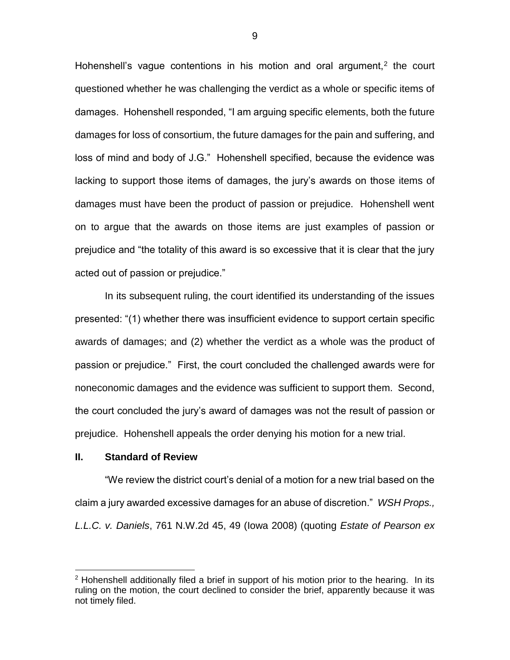Hohenshell's vague contentions in his motion and oral argument, $<sup>2</sup>$  the court</sup> questioned whether he was challenging the verdict as a whole or specific items of damages. Hohenshell responded, "I am arguing specific elements, both the future damages for loss of consortium, the future damages for the pain and suffering, and loss of mind and body of J.G." Hohenshell specified, because the evidence was lacking to support those items of damages, the jury's awards on those items of damages must have been the product of passion or prejudice. Hohenshell went on to argue that the awards on those items are just examples of passion or prejudice and "the totality of this award is so excessive that it is clear that the jury acted out of passion or prejudice."

In its subsequent ruling, the court identified its understanding of the issues presented: "(1) whether there was insufficient evidence to support certain specific awards of damages; and (2) whether the verdict as a whole was the product of passion or prejudice." First, the court concluded the challenged awards were for noneconomic damages and the evidence was sufficient to support them. Second, the court concluded the jury's award of damages was not the result of passion or prejudice. Hohenshell appeals the order denying his motion for a new trial.

#### **II. Standard of Review**

 $\overline{a}$ 

"We review the district court's denial of a motion for a new trial based on the claim a jury awarded excessive damages for an abuse of discretion." *WSH Props., L.L.C. v. Daniels*, 761 N.W.2d 45, 49 (Iowa 2008) (quoting *Estate of Pearson ex* 

 $2$  Hohenshell additionally filed a brief in support of his motion prior to the hearing. In its ruling on the motion, the court declined to consider the brief, apparently because it was not timely filed.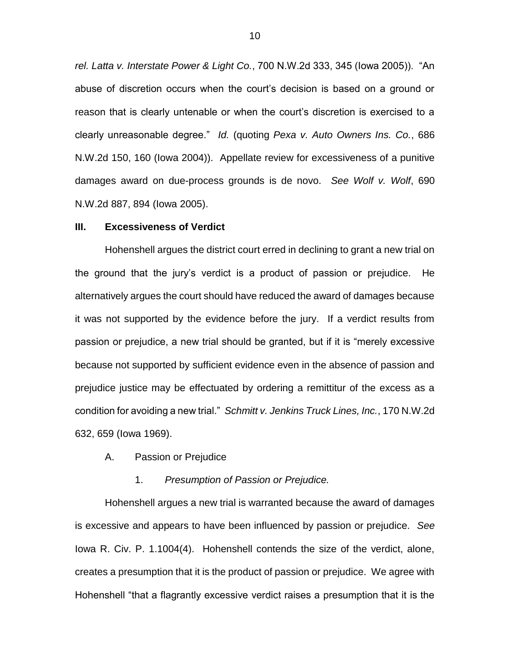*rel. Latta v. Interstate Power & Light Co.*, 700 N.W.2d 333, 345 (Iowa 2005)). "An abuse of discretion occurs when the court's decision is based on a ground or reason that is clearly untenable or when the court's discretion is exercised to a clearly unreasonable degree." *Id.* (quoting *Pexa v. Auto Owners Ins. Co.*, 686 N.W.2d 150, 160 (Iowa 2004)). Appellate review for excessiveness of a punitive damages award on due-process grounds is de novo. *See Wolf v. Wolf*, 690 N.W.2d 887, 894 (Iowa 2005).

#### **III. Excessiveness of Verdict**

Hohenshell argues the district court erred in declining to grant a new trial on the ground that the jury's verdict is a product of passion or prejudice. He alternatively argues the court should have reduced the award of damages because it was not supported by the evidence before the jury. If a verdict results from passion or prejudice, a new trial should be granted, but if it is "merely excessive because not supported by sufficient evidence even in the absence of passion and prejudice justice may be effectuated by ordering a remittitur of the excess as a condition for avoiding a new trial." *Schmitt v. Jenkins Truck Lines, Inc.*, 170 N.W.2d 632, 659 (Iowa 1969).

A. Passion or Prejudice

#### 1. *Presumption of Passion or Prejudice.*

Hohenshell argues a new trial is warranted because the award of damages is excessive and appears to have been influenced by passion or prejudice. *See* Iowa R. Civ. P. 1.1004(4). Hohenshell contends the size of the verdict, alone, creates a presumption that it is the product of passion or prejudice. We agree with Hohenshell "that a flagrantly excessive verdict raises a presumption that it is the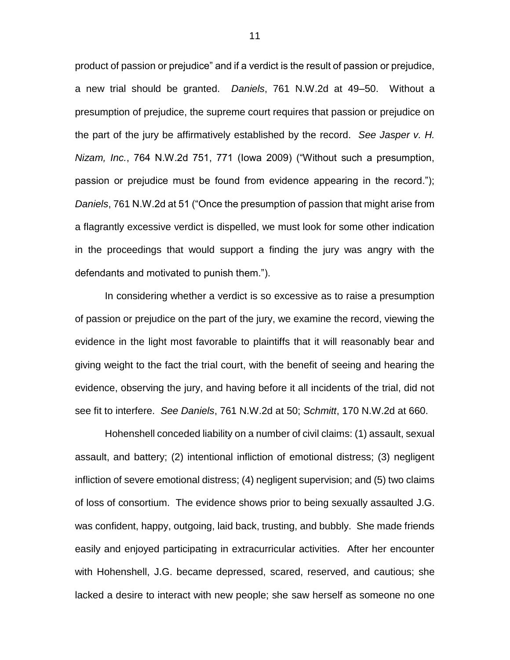product of passion or prejudice" and if a verdict is the result of passion or prejudice, a new trial should be granted. *Daniels*, 761 N.W.2d at 49–50. Without a presumption of prejudice, the supreme court requires that passion or prejudice on the part of the jury be affirmatively established by the record. *See Jasper v. H. Nizam, Inc.*, 764 N.W.2d 751, 771 (Iowa 2009) ("Without such a presumption, passion or prejudice must be found from evidence appearing in the record."); *Daniels*, 761 N.W.2d at 51 ("Once the presumption of passion that might arise from a flagrantly excessive verdict is dispelled, we must look for some other indication in the proceedings that would support a finding the jury was angry with the defendants and motivated to punish them.").

In considering whether a verdict is so excessive as to raise a presumption of passion or prejudice on the part of the jury, we examine the record, viewing the evidence in the light most favorable to plaintiffs that it will reasonably bear and giving weight to the fact the trial court, with the benefit of seeing and hearing the evidence, observing the jury, and having before it all incidents of the trial, did not see fit to interfere. *See Daniels*, 761 N.W.2d at 50; *Schmitt*, 170 N.W.2d at 660.

Hohenshell conceded liability on a number of civil claims: (1) assault, sexual assault, and battery; (2) intentional infliction of emotional distress; (3) negligent infliction of severe emotional distress; (4) negligent supervision; and (5) two claims of loss of consortium. The evidence shows prior to being sexually assaulted J.G. was confident, happy, outgoing, laid back, trusting, and bubbly. She made friends easily and enjoyed participating in extracurricular activities. After her encounter with Hohenshell, J.G. became depressed, scared, reserved, and cautious; she lacked a desire to interact with new people; she saw herself as someone no one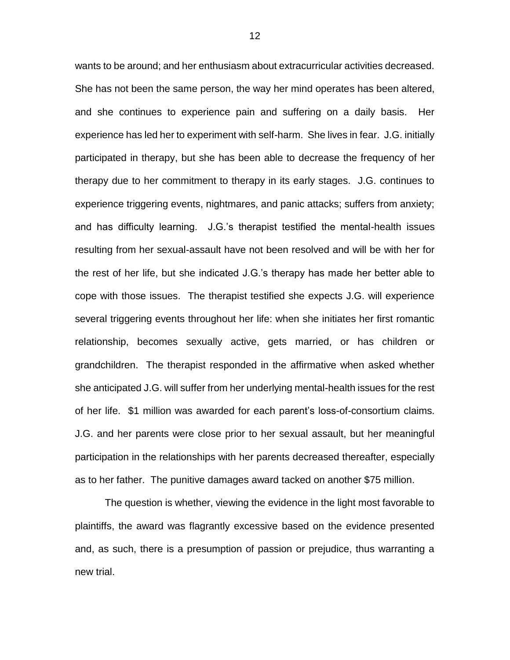wants to be around; and her enthusiasm about extracurricular activities decreased. She has not been the same person, the way her mind operates has been altered, and she continues to experience pain and suffering on a daily basis. Her experience has led her to experiment with self-harm. She lives in fear. J.G. initially participated in therapy, but she has been able to decrease the frequency of her therapy due to her commitment to therapy in its early stages. J.G. continues to experience triggering events, nightmares, and panic attacks; suffers from anxiety; and has difficulty learning. J.G.'s therapist testified the mental-health issues resulting from her sexual-assault have not been resolved and will be with her for the rest of her life, but she indicated J.G.'s therapy has made her better able to cope with those issues. The therapist testified she expects J.G. will experience several triggering events throughout her life: when she initiates her first romantic relationship, becomes sexually active, gets married, or has children or grandchildren. The therapist responded in the affirmative when asked whether she anticipated J.G. will suffer from her underlying mental-health issues for the rest of her life. \$1 million was awarded for each parent's loss-of-consortium claims. J.G. and her parents were close prior to her sexual assault, but her meaningful participation in the relationships with her parents decreased thereafter, especially as to her father. The punitive damages award tacked on another \$75 million.

The question is whether, viewing the evidence in the light most favorable to plaintiffs, the award was flagrantly excessive based on the evidence presented and, as such, there is a presumption of passion or prejudice, thus warranting a new trial.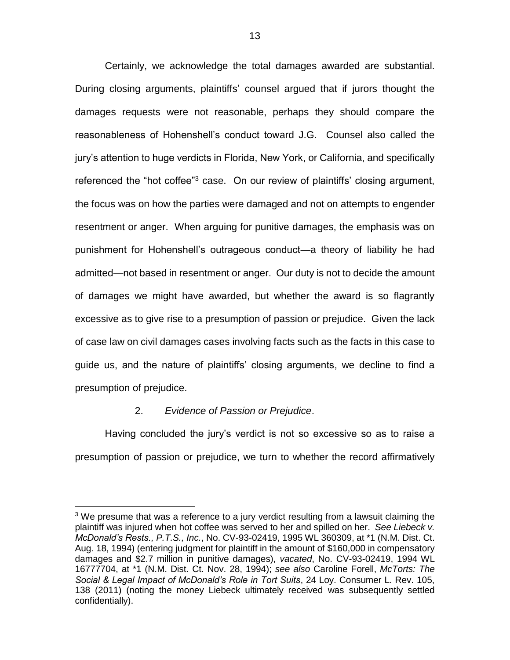Certainly, we acknowledge the total damages awarded are substantial. During closing arguments, plaintiffs' counsel argued that if jurors thought the damages requests were not reasonable, perhaps they should compare the reasonableness of Hohenshell's conduct toward J.G. Counsel also called the jury's attention to huge verdicts in Florida, New York, or California, and specifically referenced the "hot coffee"<sup>3</sup> case. On our review of plaintiffs' closing argument, the focus was on how the parties were damaged and not on attempts to engender resentment or anger. When arguing for punitive damages, the emphasis was on punishment for Hohenshell's outrageous conduct—a theory of liability he had admitted—not based in resentment or anger. Our duty is not to decide the amount of damages we might have awarded, but whether the award is so flagrantly excessive as to give rise to a presumption of passion or prejudice. Given the lack of case law on civil damages cases involving facts such as the facts in this case to guide us, and the nature of plaintiffs' closing arguments, we decline to find a presumption of prejudice.

### 2. *Evidence of Passion or Prejudice*.

 $\overline{a}$ 

Having concluded the jury's verdict is not so excessive so as to raise a presumption of passion or prejudice, we turn to whether the record affirmatively

 $3$  We presume that was a reference to a jury verdict resulting from a lawsuit claiming the plaintiff was injured when hot coffee was served to her and spilled on her. *See Liebeck v. McDonald's Rests., P.T.S., Inc.*, No. CV-93-02419, 1995 WL 360309, at \*1 (N.M. Dist. Ct. Aug. 18, 1994) (entering judgment for plaintiff in the amount of \$160,000 in compensatory damages and \$2.7 million in punitive damages), *vacated*, No. CV-93-02419, 1994 WL 16777704, at \*1 (N.M. Dist. Ct. Nov. 28, 1994); *see also* Caroline Forell, *McTorts: The Social & Legal Impact of McDonald's Role in Tort Suits*, 24 Loy. Consumer L. Rev. 105, 138 (2011) (noting the money Liebeck ultimately received was subsequently settled confidentially).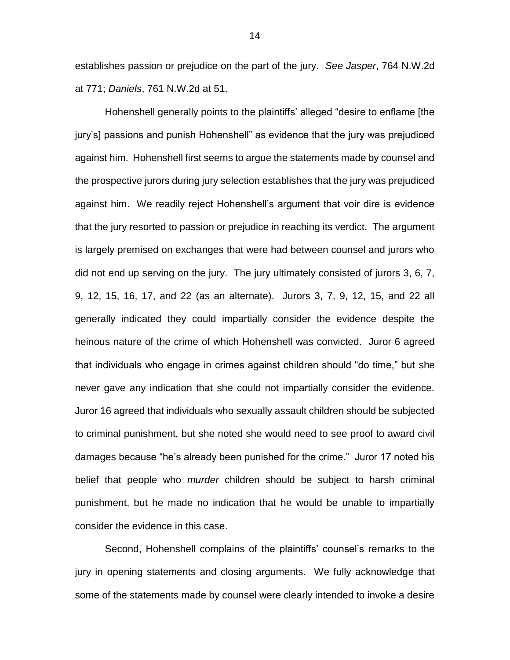establishes passion or prejudice on the part of the jury. *See Jasper*, 764 N.W.2d at 771; *Daniels*, 761 N.W.2d at 51.

Hohenshell generally points to the plaintiffs' alleged "desire to enflame [the jury's] passions and punish Hohenshell" as evidence that the jury was prejudiced against him. Hohenshell first seems to argue the statements made by counsel and the prospective jurors during jury selection establishes that the jury was prejudiced against him. We readily reject Hohenshell's argument that voir dire is evidence that the jury resorted to passion or prejudice in reaching its verdict. The argument is largely premised on exchanges that were had between counsel and jurors who did not end up serving on the jury. The jury ultimately consisted of jurors 3, 6, 7, 9, 12, 15, 16, 17, and 22 (as an alternate). Jurors 3, 7, 9, 12, 15, and 22 all generally indicated they could impartially consider the evidence despite the heinous nature of the crime of which Hohenshell was convicted. Juror 6 agreed that individuals who engage in crimes against children should "do time," but she never gave any indication that she could not impartially consider the evidence. Juror 16 agreed that individuals who sexually assault children should be subjected to criminal punishment, but she noted she would need to see proof to award civil damages because "he's already been punished for the crime." Juror 17 noted his belief that people who *murder* children should be subject to harsh criminal punishment, but he made no indication that he would be unable to impartially consider the evidence in this case.

Second, Hohenshell complains of the plaintiffs' counsel's remarks to the jury in opening statements and closing arguments. We fully acknowledge that some of the statements made by counsel were clearly intended to invoke a desire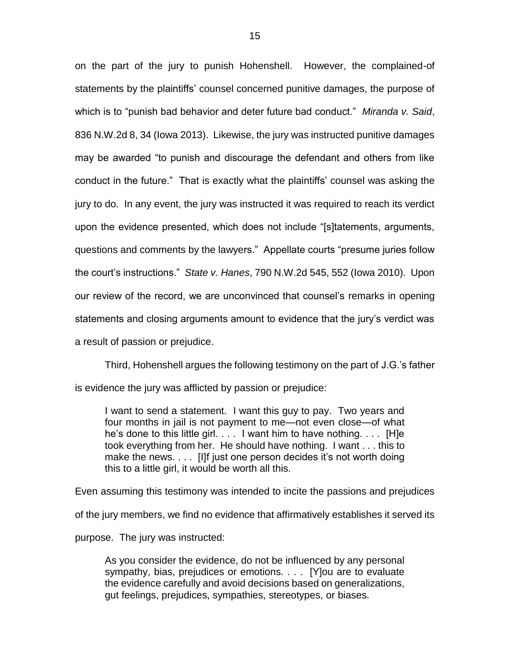on the part of the jury to punish Hohenshell. However, the complained-of statements by the plaintiffs' counsel concerned punitive damages, the purpose of which is to "punish bad behavior and deter future bad conduct." *Miranda v. Said*, 836 N.W.2d 8, 34 (Iowa 2013). Likewise, the jury was instructed punitive damages may be awarded "to punish and discourage the defendant and others from like conduct in the future." That is exactly what the plaintiffs' counsel was asking the jury to do. In any event, the jury was instructed it was required to reach its verdict upon the evidence presented, which does not include "[s]tatements, arguments, questions and comments by the lawyers." Appellate courts "presume juries follow the court's instructions." *State v. Hanes*, 790 N.W.2d 545, 552 (Iowa 2010). Upon our review of the record, we are unconvinced that counsel's remarks in opening statements and closing arguments amount to evidence that the jury's verdict was a result of passion or prejudice.

Third, Hohenshell argues the following testimony on the part of J.G.'s father is evidence the jury was afflicted by passion or prejudice:

I want to send a statement. I want this guy to pay. Two years and four months in jail is not payment to me—not even close—of what he's done to this little girl. . . . I want him to have nothing. . . . [H]e took everything from her. He should have nothing. I want . . . this to make the news. . . . [I] f just one person decides it's not worth doing this to a little girl, it would be worth all this.

Even assuming this testimony was intended to incite the passions and prejudices of the jury members, we find no evidence that affirmatively establishes it served its purpose. The jury was instructed:

As you consider the evidence, do not be influenced by any personal sympathy, bias, prejudices or emotions. . . . [Y]ou are to evaluate the evidence carefully and avoid decisions based on generalizations, gut feelings, prejudices, sympathies, stereotypes, or biases.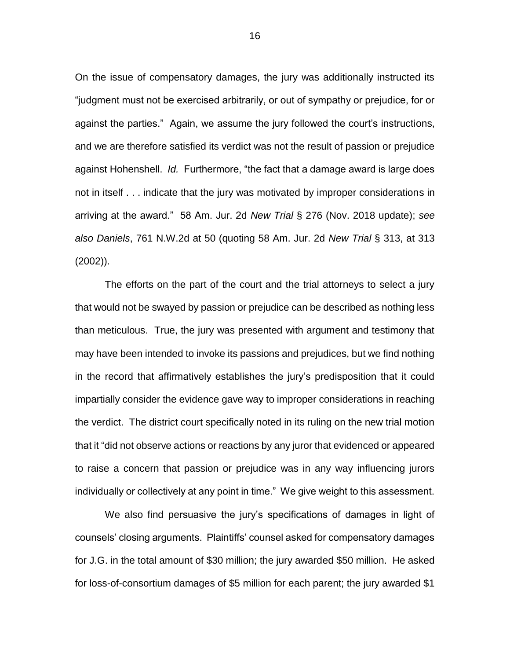On the issue of compensatory damages, the jury was additionally instructed its "judgment must not be exercised arbitrarily, or out of sympathy or prejudice, for or against the parties." Again, we assume the jury followed the court's instructions, and we are therefore satisfied its verdict was not the result of passion or prejudice against Hohenshell. *Id.* Furthermore, "the fact that a damage award is large does not in itself . . . indicate that the jury was motivated by improper considerations in arriving at the award." 58 Am. Jur. 2d *New Trial* § 276 (Nov. 2018 update); *see also Daniels*, 761 N.W.2d at 50 (quoting 58 Am. Jur. 2d *New Trial* § 313, at 313 (2002)).

The efforts on the part of the court and the trial attorneys to select a jury that would not be swayed by passion or prejudice can be described as nothing less than meticulous. True, the jury was presented with argument and testimony that may have been intended to invoke its passions and prejudices, but we find nothing in the record that affirmatively establishes the jury's predisposition that it could impartially consider the evidence gave way to improper considerations in reaching the verdict. The district court specifically noted in its ruling on the new trial motion that it "did not observe actions or reactions by any juror that evidenced or appeared to raise a concern that passion or prejudice was in any way influencing jurors individually or collectively at any point in time." We give weight to this assessment.

We also find persuasive the jury's specifications of damages in light of counsels' closing arguments. Plaintiffs' counsel asked for compensatory damages for J.G. in the total amount of \$30 million; the jury awarded \$50 million. He asked for loss-of-consortium damages of \$5 million for each parent; the jury awarded \$1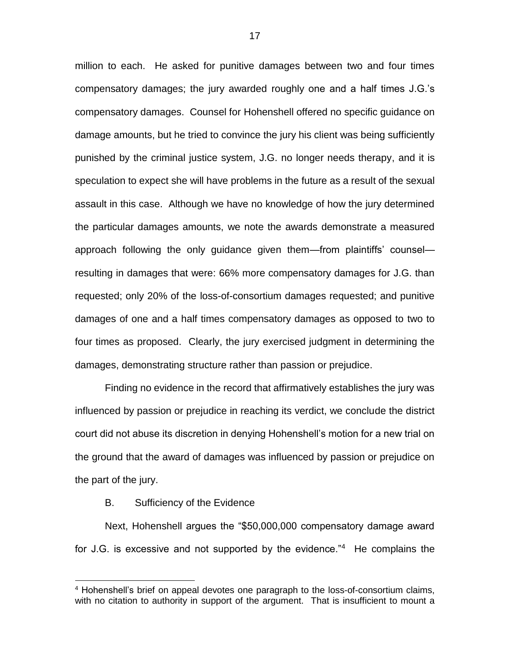million to each. He asked for punitive damages between two and four times compensatory damages; the jury awarded roughly one and a half times J.G.'s compensatory damages. Counsel for Hohenshell offered no specific guidance on damage amounts, but he tried to convince the jury his client was being sufficiently punished by the criminal justice system, J.G. no longer needs therapy, and it is speculation to expect she will have problems in the future as a result of the sexual assault in this case. Although we have no knowledge of how the jury determined the particular damages amounts, we note the awards demonstrate a measured approach following the only guidance given them—from plaintiffs' counsel resulting in damages that were: 66% more compensatory damages for J.G. than requested; only 20% of the loss-of-consortium damages requested; and punitive damages of one and a half times compensatory damages as opposed to two to four times as proposed. Clearly, the jury exercised judgment in determining the damages, demonstrating structure rather than passion or prejudice.

Finding no evidence in the record that affirmatively establishes the jury was influenced by passion or prejudice in reaching its verdict, we conclude the district court did not abuse its discretion in denying Hohenshell's motion for a new trial on the ground that the award of damages was influenced by passion or prejudice on the part of the jury.

### B. Sufficiency of the Evidence

 $\overline{a}$ 

Next, Hohenshell argues the "\$50,000,000 compensatory damage award for J.G. is excessive and not supported by the evidence."<sup>4</sup> He complains the

<sup>&</sup>lt;sup>4</sup> Hohenshell's brief on appeal devotes one paragraph to the loss-of-consortium claims, with no citation to authority in support of the argument. That is insufficient to mount a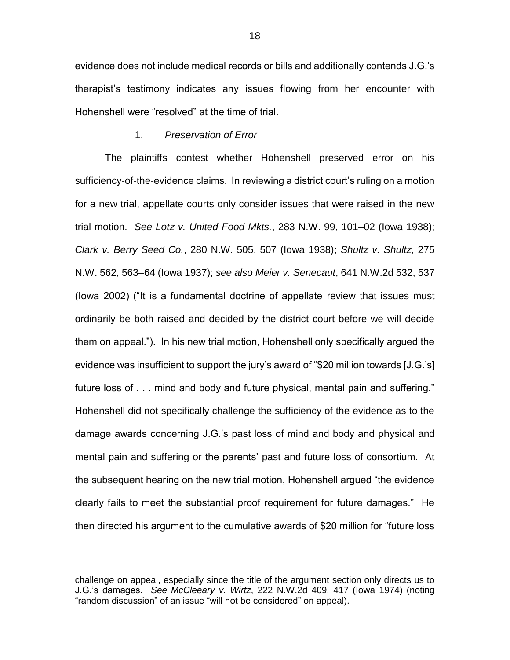evidence does not include medical records or bills and additionally contends J.G.'s therapist's testimony indicates any issues flowing from her encounter with Hohenshell were "resolved" at the time of trial.

### 1. *Preservation of Error*

The plaintiffs contest whether Hohenshell preserved error on his sufficiency-of-the-evidence claims. In reviewing a district court's ruling on a motion for a new trial, appellate courts only consider issues that were raised in the new trial motion. *See Lotz v. United Food Mkts.*, 283 N.W. 99, 101–02 (Iowa 1938); *Clark v. Berry Seed Co.*, 280 N.W. 505, 507 (Iowa 1938); *Shultz v. Shultz*, 275 N.W. 562, 563–64 (Iowa 1937); *see also Meier v. Senecaut*, 641 N.W.2d 532, 537 (Iowa 2002) ("It is a fundamental doctrine of appellate review that issues must ordinarily be both raised and decided by the district court before we will decide them on appeal."). In his new trial motion, Hohenshell only specifically argued the evidence was insufficient to support the jury's award of "\$20 million towards [J.G.'s] future loss of . . . mind and body and future physical, mental pain and suffering." Hohenshell did not specifically challenge the sufficiency of the evidence as to the damage awards concerning J.G.'s past loss of mind and body and physical and mental pain and suffering or the parents' past and future loss of consortium. At the subsequent hearing on the new trial motion, Hohenshell argued "the evidence clearly fails to meet the substantial proof requirement for future damages." He then directed his argument to the cumulative awards of \$20 million for "future loss

 $\overline{a}$ 

challenge on appeal, especially since the title of the argument section only directs us to J.G.'s damages. *See McCleeary v. Wirtz*, 222 N.W.2d 409, 417 (Iowa 1974) (noting "random discussion" of an issue "will not be considered" on appeal).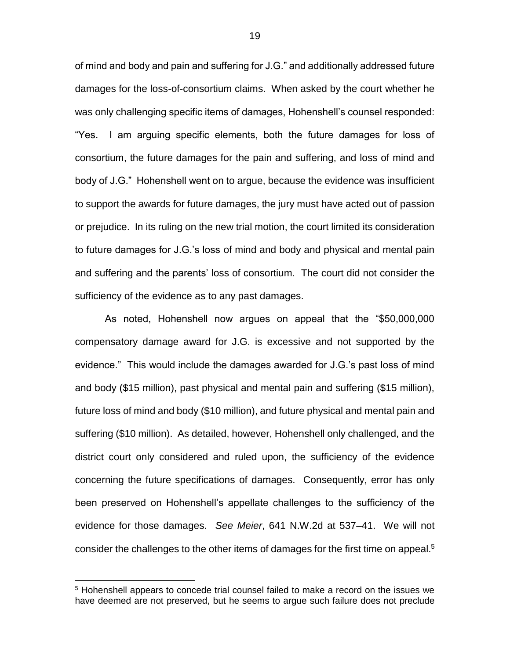of mind and body and pain and suffering for J.G." and additionally addressed future damages for the loss-of-consortium claims. When asked by the court whether he was only challenging specific items of damages, Hohenshell's counsel responded: "Yes. I am arguing specific elements, both the future damages for loss of consortium, the future damages for the pain and suffering, and loss of mind and body of J.G." Hohenshell went on to argue, because the evidence was insufficient to support the awards for future damages, the jury must have acted out of passion or prejudice. In its ruling on the new trial motion, the court limited its consideration to future damages for J.G.'s loss of mind and body and physical and mental pain and suffering and the parents' loss of consortium. The court did not consider the sufficiency of the evidence as to any past damages.

As noted, Hohenshell now argues on appeal that the "\$50,000,000 compensatory damage award for J.G. is excessive and not supported by the evidence." This would include the damages awarded for J.G.'s past loss of mind and body (\$15 million), past physical and mental pain and suffering (\$15 million), future loss of mind and body (\$10 million), and future physical and mental pain and suffering (\$10 million). As detailed, however, Hohenshell only challenged, and the district court only considered and ruled upon, the sufficiency of the evidence concerning the future specifications of damages. Consequently, error has only been preserved on Hohenshell's appellate challenges to the sufficiency of the evidence for those damages. *See Meier*, 641 N.W.2d at 537–41. We will not consider the challenges to the other items of damages for the first time on appeal. $5$ 

 $\overline{a}$ 

<sup>&</sup>lt;sup>5</sup> Hohenshell appears to concede trial counsel failed to make a record on the issues we have deemed are not preserved, but he seems to argue such failure does not preclude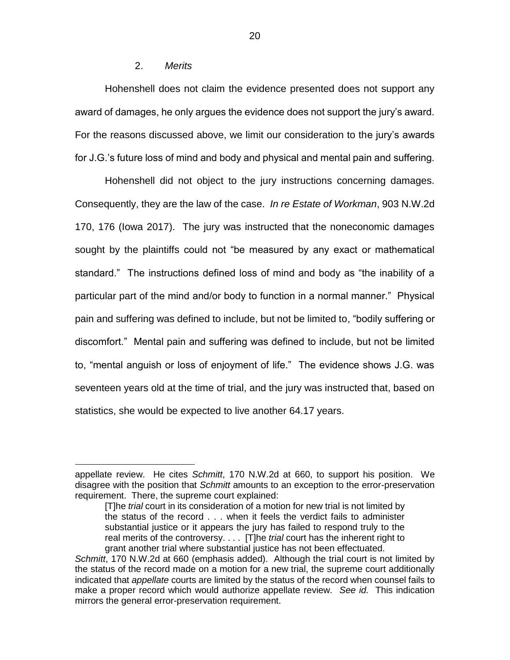# 2. *Merits*

 $\overline{a}$ 

Hohenshell does not claim the evidence presented does not support any award of damages, he only argues the evidence does not support the jury's award. For the reasons discussed above, we limit our consideration to the jury's awards for J.G.'s future loss of mind and body and physical and mental pain and suffering.

Hohenshell did not object to the jury instructions concerning damages. Consequently, they are the law of the case. *In re Estate of Workman*, 903 N.W.2d 170, 176 (Iowa 2017). The jury was instructed that the noneconomic damages sought by the plaintiffs could not "be measured by any exact or mathematical standard." The instructions defined loss of mind and body as "the inability of a particular part of the mind and/or body to function in a normal manner." Physical pain and suffering was defined to include, but not be limited to, "bodily suffering or discomfort." Mental pain and suffering was defined to include, but not be limited to, "mental anguish or loss of enjoyment of life." The evidence shows J.G. was seventeen years old at the time of trial, and the jury was instructed that, based on statistics, she would be expected to live another 64.17 years.

appellate review. He cites *Schmitt*, 170 N.W.2d at 660, to support his position. We disagree with the position that *Schmitt* amounts to an exception to the error-preservation requirement. There, the supreme court explained:

<sup>[</sup>T]he *trial* court in its consideration of a motion for new trial is not limited by the status of the record . . . when it feels the verdict fails to administer substantial justice or it appears the jury has failed to respond truly to the real merits of the controversy. . . . [T]he *trial* court has the inherent right to grant another trial where substantial justice has not been effectuated.

*Schmitt*, 170 N.W.2d at 660 (emphasis added). Although the trial court is not limited by the status of the record made on a motion for a new trial, the supreme court additionally indicated that *appellate* courts are limited by the status of the record when counsel fails to make a proper record which would authorize appellate review. *See id.* This indication mirrors the general error-preservation requirement.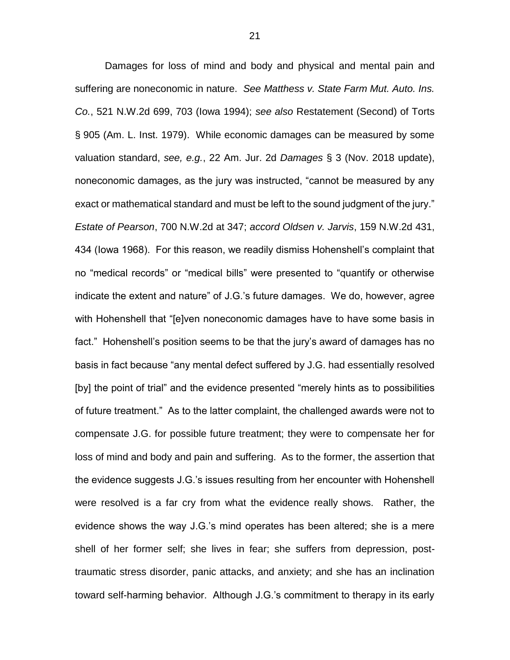Damages for loss of mind and body and physical and mental pain and suffering are noneconomic in nature. *See Matthess v. State Farm Mut. Auto. Ins. Co.*, 521 N.W.2d 699, 703 (Iowa 1994); *see also* Restatement (Second) of Torts § 905 (Am. L. Inst. 1979). While economic damages can be measured by some valuation standard, *see, e.g.*, 22 Am. Jur. 2d *Damages* § 3 (Nov. 2018 update), noneconomic damages, as the jury was instructed, "cannot be measured by any exact or mathematical standard and must be left to the sound judgment of the jury." *Estate of Pearson*, 700 N.W.2d at 347; *accord Oldsen v. Jarvis*, 159 N.W.2d 431, 434 (Iowa 1968). For this reason, we readily dismiss Hohenshell's complaint that no "medical records" or "medical bills" were presented to "quantify or otherwise indicate the extent and nature" of J.G.'s future damages. We do, however, agree with Hohenshell that "[e]ven noneconomic damages have to have some basis in fact." Hohenshell's position seems to be that the jury's award of damages has no basis in fact because "any mental defect suffered by J.G. had essentially resolved [by] the point of trial" and the evidence presented "merely hints as to possibilities of future treatment." As to the latter complaint, the challenged awards were not to compensate J.G. for possible future treatment; they were to compensate her for loss of mind and body and pain and suffering. As to the former, the assertion that the evidence suggests J.G.'s issues resulting from her encounter with Hohenshell were resolved is a far cry from what the evidence really shows. Rather, the evidence shows the way J.G.'s mind operates has been altered; she is a mere shell of her former self; she lives in fear; she suffers from depression, posttraumatic stress disorder, panic attacks, and anxiety; and she has an inclination toward self-harming behavior. Although J.G.'s commitment to therapy in its early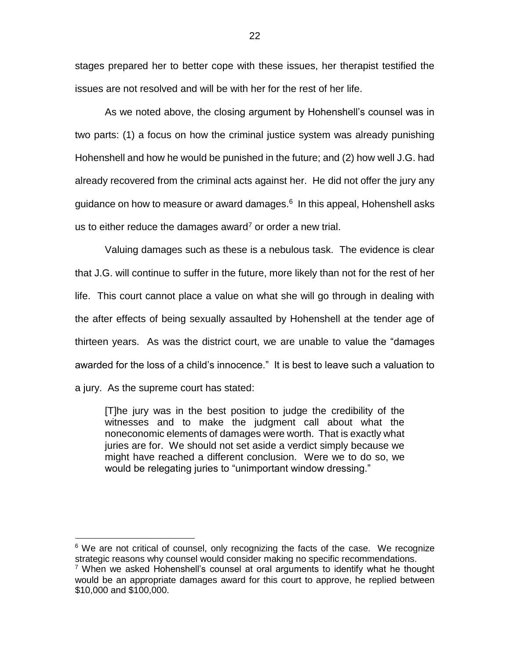stages prepared her to better cope with these issues, her therapist testified the issues are not resolved and will be with her for the rest of her life.

As we noted above, the closing argument by Hohenshell's counsel was in two parts: (1) a focus on how the criminal justice system was already punishing Hohenshell and how he would be punished in the future; and (2) how well J.G. had already recovered from the criminal acts against her. He did not offer the jury any guidance on how to measure or award damages.<sup>6</sup> In this appeal, Hohenshell asks us to either reduce the damages award<sup>7</sup> or order a new trial.

Valuing damages such as these is a nebulous task. The evidence is clear that J.G. will continue to suffer in the future, more likely than not for the rest of her life. This court cannot place a value on what she will go through in dealing with the after effects of being sexually assaulted by Hohenshell at the tender age of thirteen years. As was the district court, we are unable to value the "damages awarded for the loss of a child's innocence." It is best to leave such a valuation to a jury. As the supreme court has stated:

[T]he jury was in the best position to judge the credibility of the witnesses and to make the judgment call about what the noneconomic elements of damages were worth. That is exactly what juries are for. We should not set aside a verdict simply because we might have reached a different conclusion. Were we to do so, we would be relegating juries to "unimportant window dressing."

 $\overline{a}$ 

 $6$  We are not critical of counsel, only recognizing the facts of the case. We recognize strategic reasons why counsel would consider making no specific recommendations.

 $7$  When we asked Hohenshell's counsel at oral arguments to identify what he thought would be an appropriate damages award for this court to approve, he replied between \$10,000 and \$100,000.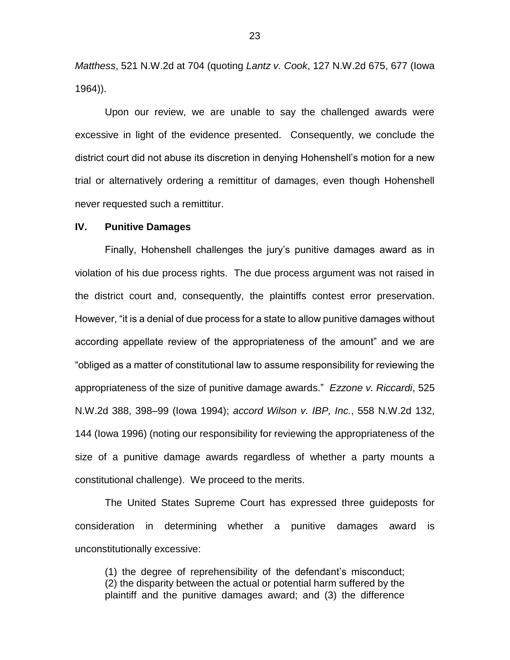*Matthess*, 521 N.W.2d at 704 (quoting *Lantz v. Cook*, 127 N.W.2d 675, 677 (Iowa 1964)).

Upon our review, we are unable to say the challenged awards were excessive in light of the evidence presented. Consequently, we conclude the district court did not abuse its discretion in denying Hohenshell's motion for a new trial or alternatively ordering a remittitur of damages, even though Hohenshell never requested such a remittitur.

#### **IV. Punitive Damages**

Finally, Hohenshell challenges the jury's punitive damages award as in violation of his due process rights. The due process argument was not raised in the district court and, consequently, the plaintiffs contest error preservation. However, "it is a denial of due process for a state to allow punitive damages without according appellate review of the appropriateness of the amount" and we are "obliged as a matter of constitutional law to assume responsibility for reviewing the appropriateness of the size of punitive damage awards." *Ezzone v. Riccardi*, 525 N.W.2d 388, 398–99 (Iowa 1994); *accord Wilson v. IBP, Inc.*, 558 N.W.2d 132, 144 (Iowa 1996) (noting our responsibility for reviewing the appropriateness of the size of a punitive damage awards regardless of whether a party mounts a constitutional challenge). We proceed to the merits.

The United States Supreme Court has expressed three guideposts for consideration in determining whether a punitive damages award is unconstitutionally excessive:

(1) the degree of reprehensibility of the defendant's misconduct; (2) the disparity between the actual or potential harm suffered by the plaintiff and the punitive damages award; and (3) the difference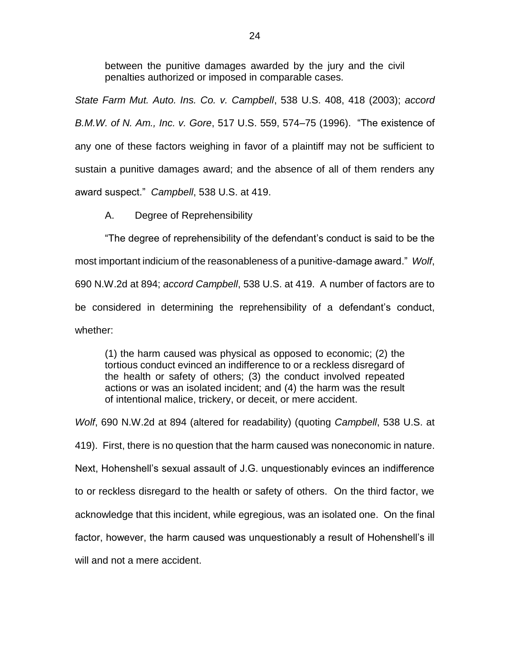between the punitive damages awarded by the jury and the civil penalties authorized or imposed in comparable cases.

*State Farm Mut. Auto. Ins. Co. v. Campbell*, 538 U.S. 408, 418 (2003); *accord B.M.W. of N. Am., Inc. v. Gore*, 517 U.S. 559, 574–75 (1996). "The existence of any one of these factors weighing in favor of a plaintiff may not be sufficient to sustain a punitive damages award; and the absence of all of them renders any award suspect." *Campbell*, 538 U.S. at 419.

A. Degree of Reprehensibility

"The degree of reprehensibility of the defendant's conduct is said to be the most important indicium of the reasonableness of a punitive-damage award." *Wolf*, 690 N.W.2d at 894; *accord Campbell*, 538 U.S. at 419. A number of factors are to be considered in determining the reprehensibility of a defendant's conduct, whether:

(1) the harm caused was physical as opposed to economic; (2) the tortious conduct evinced an indifference to or a reckless disregard of the health or safety of others; (3) the conduct involved repeated actions or was an isolated incident; and (4) the harm was the result of intentional malice, trickery, or deceit, or mere accident.

*Wolf*, 690 N.W.2d at 894 (altered for readability) (quoting *Campbell*, 538 U.S. at 419). First, there is no question that the harm caused was noneconomic in nature. Next, Hohenshell's sexual assault of J.G. unquestionably evinces an indifference to or reckless disregard to the health or safety of others. On the third factor, we acknowledge that this incident, while egregious, was an isolated one. On the final factor, however, the harm caused was unquestionably a result of Hohenshell's ill will and not a mere accident.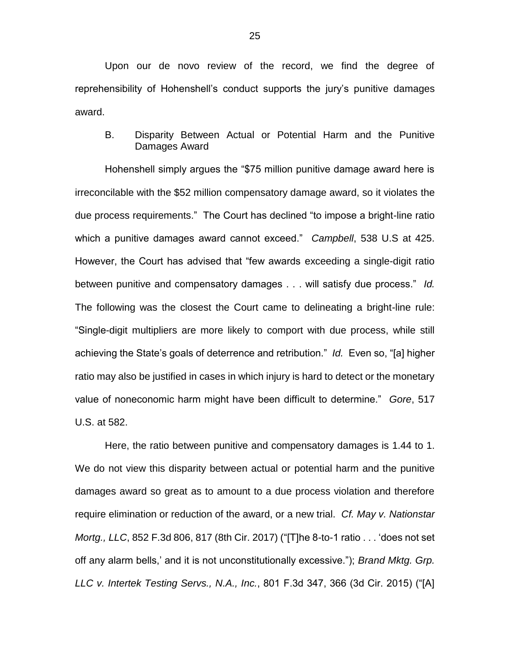Upon our de novo review of the record, we find the degree of reprehensibility of Hohenshell's conduct supports the jury's punitive damages award.

B. Disparity Between Actual or Potential Harm and the Punitive Damages Award

Hohenshell simply argues the "\$75 million punitive damage award here is irreconcilable with the \$52 million compensatory damage award, so it violates the due process requirements." The Court has declined "to impose a bright-line ratio which a punitive damages award cannot exceed." *Campbell*, 538 U.S at 425. However, the Court has advised that "few awards exceeding a single-digit ratio between punitive and compensatory damages . . . will satisfy due process." *Id.* The following was the closest the Court came to delineating a bright-line rule: "Single-digit multipliers are more likely to comport with due process, while still achieving the State's goals of deterrence and retribution." *Id.* Even so, "[a] higher ratio may also be justified in cases in which injury is hard to detect or the monetary value of noneconomic harm might have been difficult to determine." *Gore*, 517 U.S. at 582.

Here, the ratio between punitive and compensatory damages is 1.44 to 1. We do not view this disparity between actual or potential harm and the punitive damages award so great as to amount to a due process violation and therefore require elimination or reduction of the award, or a new trial. *Cf. May v. Nationstar Mortg., LLC*, 852 F.3d 806, 817 (8th Cir. 2017) ("[T]he 8-to-1 ratio . . . 'does not set off any alarm bells,' and it is not unconstitutionally excessive."); *Brand Mktg. Grp. LLC v. Intertek Testing Servs., N.A., Inc.*, 801 F.3d 347, 366 (3d Cir. 2015) ("[A]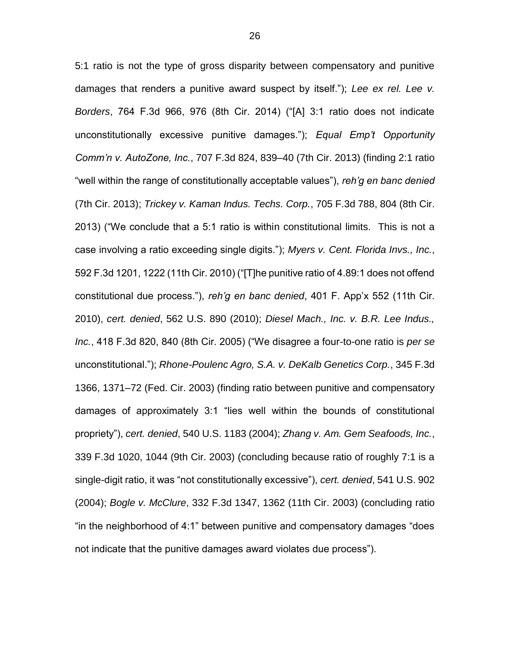5:1 ratio is not the type of gross disparity between compensatory and punitive damages that renders a punitive award suspect by itself."); *Lee ex rel. Lee v. Borders*, 764 F.3d 966, 976 (8th Cir. 2014) ("[A] 3:1 ratio does not indicate unconstitutionally excessive punitive damages."); *Equal Emp't Opportunity Comm'n v. AutoZone, Inc.*, 707 F.3d 824, 839–40 (7th Cir. 2013) (finding 2:1 ratio "well within the range of constitutionally acceptable values"), *reh'g en banc denied*  (7th Cir. 2013); *Trickey v. Kaman Indus. Techs. Corp.*, 705 F.3d 788, 804 (8th Cir. 2013) ("We conclude that a 5:1 ratio is within constitutional limits. This is not a case involving a ratio exceeding single digits."); *Myers v. Cent. Florida Invs., Inc.*, 592 F.3d 1201, 1222 (11th Cir. 2010) ("[T]he punitive ratio of 4.89:1 does not offend constitutional due process."), *reh'g en banc denied*, 401 F. App'x 552 (11th Cir. 2010), *cert. denied*, 562 U.S. 890 (2010); *Diesel Mach., Inc. v. B.R. Lee Indus., Inc.*, 418 F.3d 820, 840 (8th Cir. 2005) ("We disagree a four-to-one ratio is *per se*  unconstitutional."); *Rhone-Poulenc Agro, S.A. v. DeKalb Genetics Corp.*, 345 F.3d 1366, 1371–72 (Fed. Cir. 2003) (finding ratio between punitive and compensatory damages of approximately 3:1 "lies well within the bounds of constitutional propriety"), *cert. denied*, 540 U.S. 1183 (2004); *Zhang v. Am. Gem Seafoods, Inc.*, 339 F.3d 1020, 1044 (9th Cir. 2003) (concluding because ratio of roughly 7:1 is a single-digit ratio, it was "not constitutionally excessive"), *cert. denied*, 541 U.S. 902 (2004); *Bogle v. McClure*, 332 F.3d 1347, 1362 (11th Cir. 2003) (concluding ratio "in the neighborhood of 4:1" between punitive and compensatory damages "does not indicate that the punitive damages award violates due process").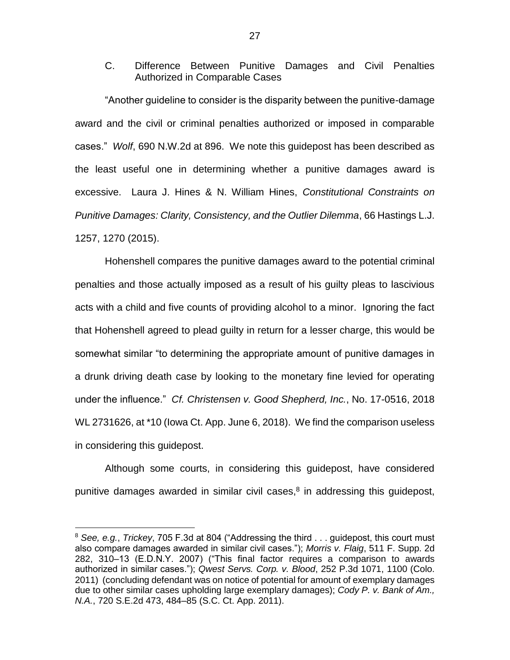C. Difference Between Punitive Damages and Civil Penalties Authorized in Comparable Cases

"Another guideline to consider is the disparity between the punitive-damage award and the civil or criminal penalties authorized or imposed in comparable cases." *Wolf*, 690 N.W.2d at 896. We note this guidepost has been described as the least useful one in determining whether a punitive damages award is excessive. Laura J. Hines & N. William Hines, *Constitutional Constraints on Punitive Damages: Clarity, Consistency, and the Outlier Dilemma*, 66 Hastings L.J. 1257, 1270 (2015).

Hohenshell compares the punitive damages award to the potential criminal penalties and those actually imposed as a result of his guilty pleas to lascivious acts with a child and five counts of providing alcohol to a minor. Ignoring the fact that Hohenshell agreed to plead guilty in return for a lesser charge, this would be somewhat similar "to determining the appropriate amount of punitive damages in a drunk driving death case by looking to the monetary fine levied for operating under the influence." *Cf. Christensen v. Good Shepherd, Inc.*, No. 17-0516, 2018 WL 2731626, at \*10 (Iowa Ct. App. June 6, 2018). We find the comparison useless in considering this guidepost.

Although some courts, in considering this guidepost, have considered punitive damages awarded in similar civil cases, $8$  in addressing this guidepost,

 $\overline{a}$ 

<sup>8</sup> *See, e.g.*, *Trickey*, 705 F.3d at 804 ("Addressing the third . . . guidepost, this court must also compare damages awarded in similar civil cases."); *Morris v. Flaig*, 511 F. Supp. 2d 282, 310–13 (E.D.N.Y. 2007) ("This final factor requires a comparison to awards authorized in similar cases."); *Qwest Servs. Corp. v. Blood*, 252 P.3d 1071, 1100 (Colo. 2011) (concluding defendant was on notice of potential for amount of exemplary damages due to other similar cases upholding large exemplary damages); *Cody P. v. Bank of Am., N.A.*, 720 S.E.2d 473, 484–85 (S.C. Ct. App. 2011).